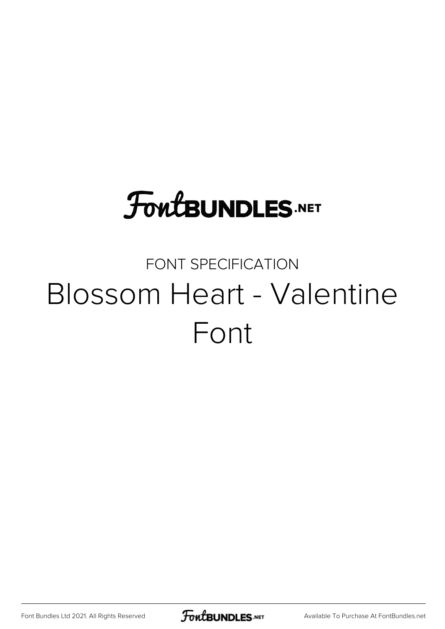## **FoutBUNDLES.NET**

## FONT SPECIFICATION Blossom Heart - Valentine Font

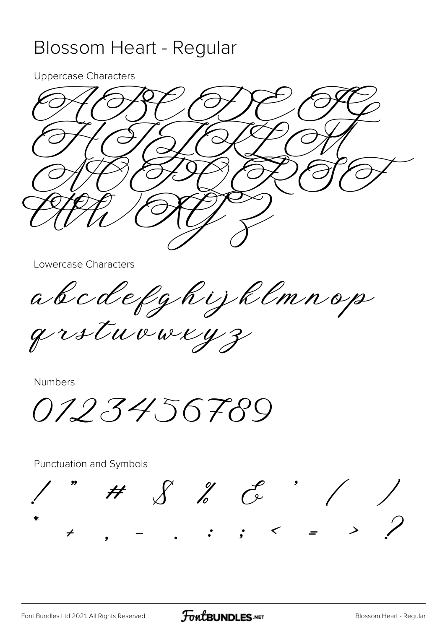## Blossom Heart - Regular

**Uppercase Characters** 



Lowercase Characters

a b c d e f g h i j k l m n o p

grstuvweyz

**Numbers** 

0123456789

Punctuation and Symbols

 $H \quad S \quad Z \quad C$  $\therefore$   $\therefore$   $\leq$   $\Rightarrow$   $\Rightarrow$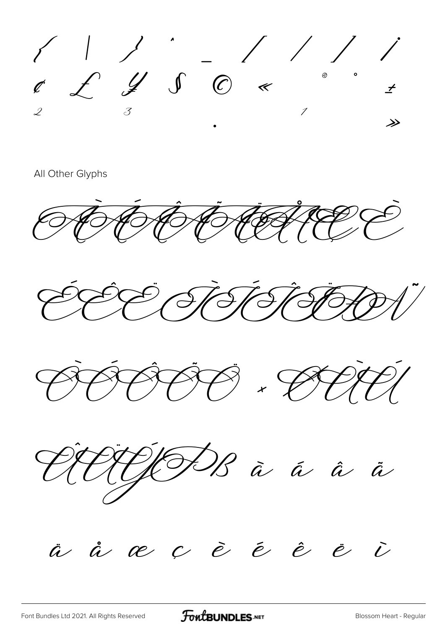$\begin{array}{ccc} \begin{array}{ccc} \begin{array}{ccc} \begin{array}{ccc} \ \end{array} & \begin{array}{ccc} \ \end{array} & \begin{array}{ccc} \ \end{array} & \begin{array}{ccc} \ \end{array} & \begin{array}{ccc} \ \end{array} & \begin{array}{ccc} \ \end{array} & \begin{array}{ccc} \ \end{array} & \begin{array}{ccc} \ \end{array} & \begin{array}{ccc} \ \end{array} & \begin{array}{ccc} \ \end{array} & \begin{array}{ccc} \ \end{array} & \begin{array}{ccc} \ \end{array} & \begin{array}{ccc} \ \end{array} & \begin{array}{ccc} \ \end{array} & \begin{$  $\overrightarrow{t}$ 

All Other Glyphs

FHEE





VIJODS à á â å

à à œ ç è é è è  $\tilde{\mathcal{C}}$ 

FontBUNDLES.NET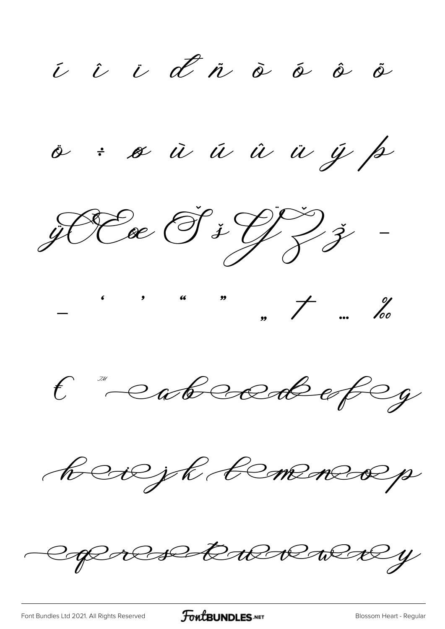i i i d'n à á à ö

o: où u û u y p







bedejk temeneop

Copolsettwerey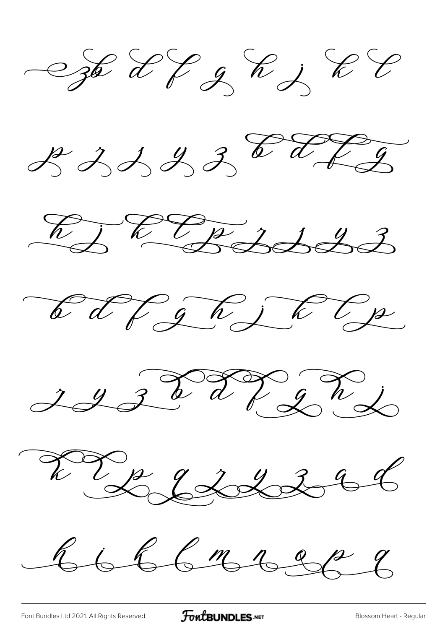Staff of Rift











 $66666668288$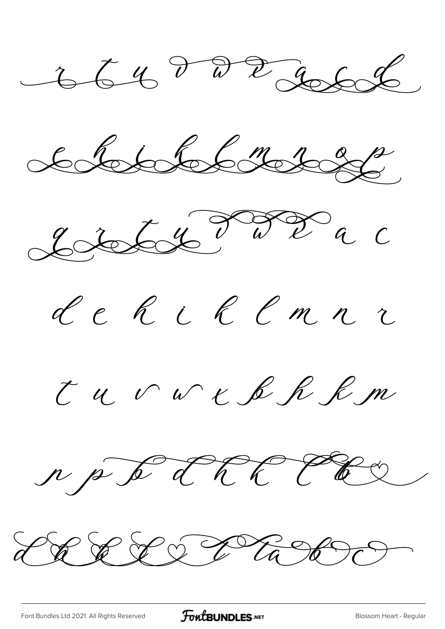$-66472266$ 







Tu v w K R R R m



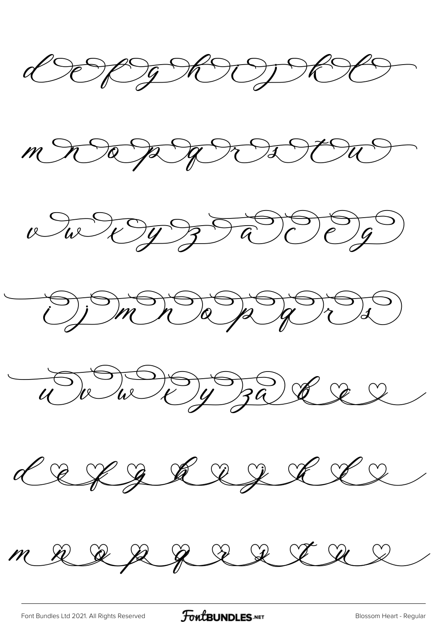DERTERODECO











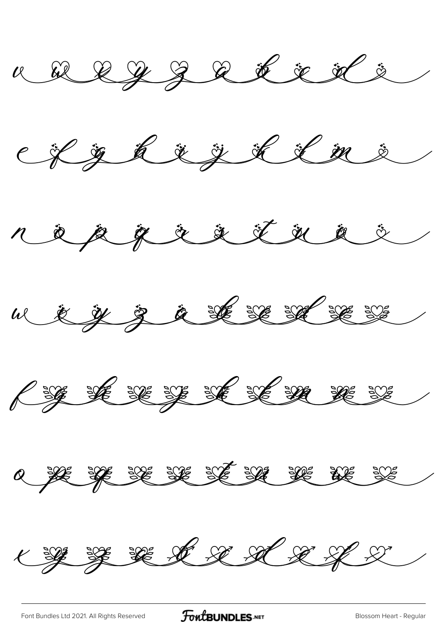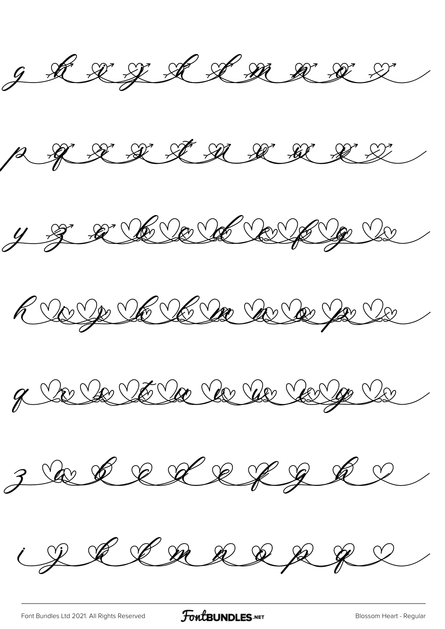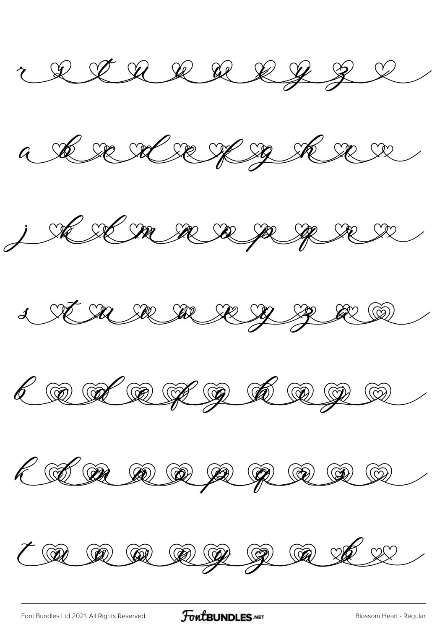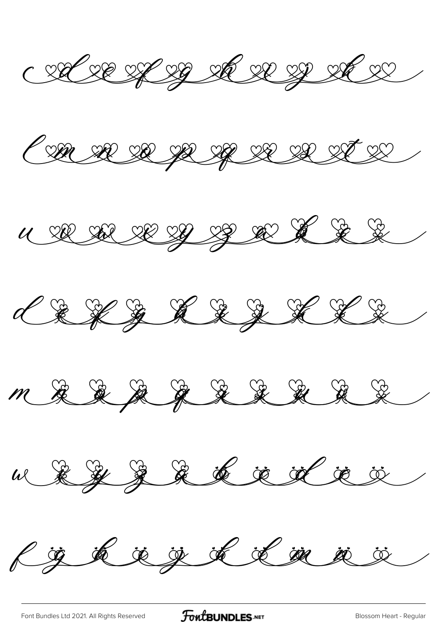